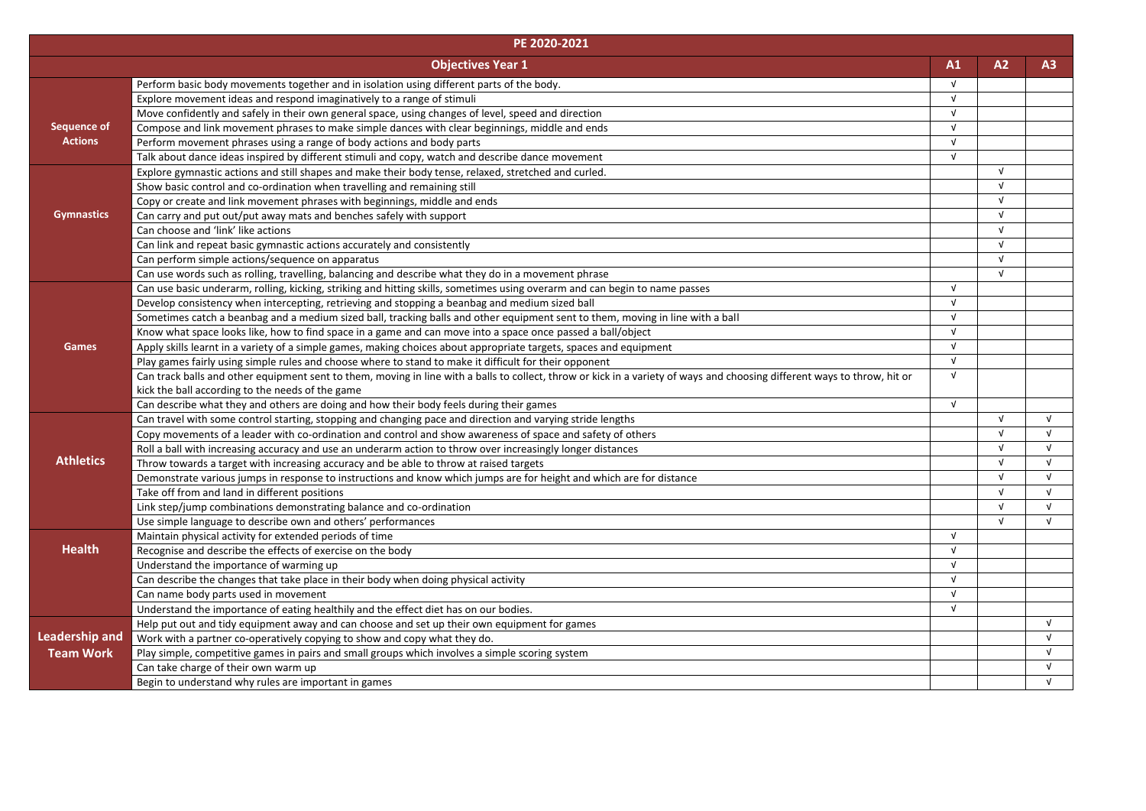|                       | PE 2020-2021                                                                                                                                                              |            |            |            |
|-----------------------|---------------------------------------------------------------------------------------------------------------------------------------------------------------------------|------------|------------|------------|
|                       | <b>Objectives Year 1</b>                                                                                                                                                  | A1         | A2         | A3         |
|                       | Perform basic body movements together and in isolation using different parts of the body.                                                                                 | $\sqrt{ }$ |            |            |
|                       | Explore movement ideas and respond imaginatively to a range of stimuli                                                                                                    | $\sqrt{ }$ |            |            |
|                       | Move confidently and safely in their own general space, using changes of level, speed and direction                                                                       | $\sqrt{ }$ |            |            |
| <b>Sequence of</b>    | Compose and link movement phrases to make simple dances with clear beginnings, middle and ends                                                                            | $\sqrt{ }$ |            |            |
| <b>Actions</b>        | Perform movement phrases using a range of body actions and body parts                                                                                                     | $\sqrt{ }$ |            |            |
|                       | Talk about dance ideas inspired by different stimuli and copy, watch and describe dance movement                                                                          | $\sqrt{ }$ |            |            |
|                       | Explore gymnastic actions and still shapes and make their body tense, relaxed, stretched and curled.                                                                      |            | $\sqrt{ }$ |            |
|                       | Show basic control and co-ordination when travelling and remaining still                                                                                                  |            | $\sqrt{ }$ |            |
|                       | Copy or create and link movement phrases with beginnings, middle and ends                                                                                                 |            | $\sqrt{ }$ |            |
| <b>Gymnastics</b>     | Can carry and put out/put away mats and benches safely with support                                                                                                       |            | $\sqrt{ }$ |            |
|                       | Can choose and 'link' like actions                                                                                                                                        |            | $\sqrt{ }$ |            |
|                       | Can link and repeat basic gymnastic actions accurately and consistently                                                                                                   |            | $\sqrt{ }$ |            |
|                       | Can perform simple actions/sequence on apparatus                                                                                                                          |            | $\sqrt{ }$ |            |
|                       | Can use words such as rolling, travelling, balancing and describe what they do in a movement phrase                                                                       |            | $\sqrt{ }$ |            |
|                       | Can use basic underarm, rolling, kicking, striking and hitting skills, sometimes using overarm and can begin to name passes                                               | $\sqrt{ }$ |            |            |
|                       | Develop consistency when intercepting, retrieving and stopping a beanbag and medium sized ball                                                                            | $\sqrt{ }$ |            |            |
|                       | Sometimes catch a beanbag and a medium sized ball, tracking balls and other equipment sent to them, moving in line with a ball                                            | $\sqrt{ }$ |            |            |
|                       | Know what space looks like, how to find space in a game and can move into a space once passed a ball/object                                                               | $\sqrt{ }$ |            |            |
| <b>Games</b>          | Apply skills learnt in a variety of a simple games, making choices about appropriate targets, spaces and equipment                                                        | $\sqrt{ }$ |            |            |
|                       | Play games fairly using simple rules and choose where to stand to make it difficult for their opponent                                                                    | $\sqrt{ }$ |            |            |
|                       | Can track balls and other equipment sent to them, moving in line with a balls to collect, throw or kick in a variety of ways and choosing different ways to throw, hit or | $\sqrt{ }$ |            |            |
|                       | kick the ball according to the needs of the game                                                                                                                          |            |            |            |
|                       | Can describe what they and others are doing and how their body feels during their games                                                                                   | $\sqrt{ }$ |            |            |
|                       | Can travel with some control starting, stopping and changing pace and direction and varying stride lengths                                                                |            | $\sqrt{ }$ | $\sqrt{ }$ |
|                       | Copy movements of a leader with co-ordination and control and show awareness of space and safety of others                                                                |            | $\sqrt{ }$ |            |
| <b>Athletics</b>      | Roll a ball with increasing accuracy and use an underarm action to throw over increasingly longer distances                                                               |            | $\sqrt{ }$ |            |
|                       | Throw towards a target with increasing accuracy and be able to throw at raised targets                                                                                    |            | v          |            |
|                       | Demonstrate various jumps in response to instructions and know which jumps are for height and which are for distance                                                      |            | $\sqrt{ }$ | νI         |
|                       | Take off from and land in different positions                                                                                                                             |            | V<br>V     | v<br>v     |
|                       | Link step/jump combinations demonstrating balance and co-ordination                                                                                                       |            | V          | V          |
|                       | Use simple language to describe own and others' performances                                                                                                              | $\sqrt{ }$ |            |            |
| <b>Health</b>         | Maintain physical activity for extended periods of time                                                                                                                   | $\sqrt{ }$ |            |            |
|                       | Recognise and describe the effects of exercise on the body<br>Understand the importance of warming up                                                                     | $\sqrt{ }$ |            |            |
|                       | Can describe the changes that take place in their body when doing physical activity                                                                                       | $\sqrt{ }$ |            |            |
|                       |                                                                                                                                                                           | $\sqrt{ }$ |            |            |
|                       | Can name body parts used in movement<br>Understand the importance of eating healthily and the effect diet has on our bodies.                                              | $\sqrt{ }$ |            |            |
|                       | Help put out and tidy equipment away and can choose and set up their own equipment for games                                                                              |            |            | V          |
| <b>Leadership and</b> | Work with a partner co-operatively copying to show and copy what they do.                                                                                                 |            |            | V          |
| <b>Team Work</b>      | Play simple, competitive games in pairs and small groups which involves a simple scoring system                                                                           |            |            | v          |
|                       | Can take charge of their own warm up                                                                                                                                      |            |            | V          |
|                       | Begin to understand why rules are important in games                                                                                                                      |            |            | V          |
|                       |                                                                                                                                                                           |            |            |            |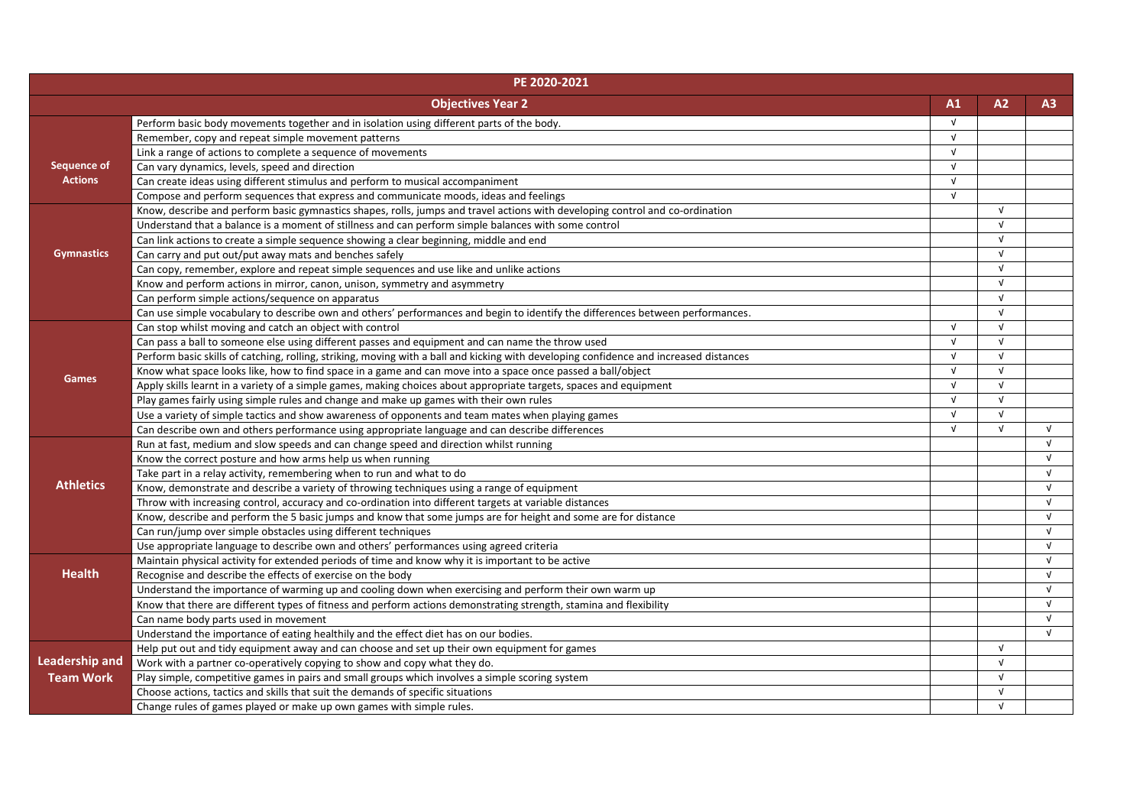| PE 2020-2021          |                                                                                                                                        |            |            |                |
|-----------------------|----------------------------------------------------------------------------------------------------------------------------------------|------------|------------|----------------|
|                       | <b>Objectives Year 2</b>                                                                                                               | A1         | A2         | A <sub>3</sub> |
|                       | Perform basic body movements together and in isolation using different parts of the body.                                              | $\sqrt{ }$ |            |                |
|                       | Remember, copy and repeat simple movement patterns                                                                                     | $\sqrt{ }$ |            |                |
|                       | Link a range of actions to complete a sequence of movements                                                                            | $\sqrt{ }$ |            |                |
| <b>Sequence of</b>    | Can vary dynamics, levels, speed and direction                                                                                         | $\sqrt{ }$ |            |                |
| <b>Actions</b>        | Can create ideas using different stimulus and perform to musical accompaniment                                                         | $\sqrt{ }$ |            |                |
|                       | Compose and perform sequences that express and communicate moods, ideas and feelings                                                   | $\sqrt{ }$ |            |                |
|                       | Know, describe and perform basic gymnastics shapes, rolls, jumps and travel actions with developing control and co-ordination          |            | $\sqrt{ }$ |                |
|                       | Understand that a balance is a moment of stillness and can perform simple balances with some control                                   |            | $\sqrt{ }$ |                |
|                       | Can link actions to create a simple sequence showing a clear beginning, middle and end                                                 |            | $\sqrt{ }$ |                |
| <b>Gymnastics</b>     | Can carry and put out/put away mats and benches safely                                                                                 |            | $\sqrt{ }$ |                |
|                       | Can copy, remember, explore and repeat simple sequences and use like and unlike actions                                                |            | $\sqrt{ }$ |                |
|                       | Know and perform actions in mirror, canon, unison, symmetry and asymmetry                                                              |            | $\sqrt{ }$ |                |
|                       | Can perform simple actions/sequence on apparatus                                                                                       |            | $\sqrt{ }$ |                |
|                       | Can use simple vocabulary to describe own and others' performances and begin to identify the differences between performances.         |            | $\sqrt{ }$ |                |
|                       | Can stop whilst moving and catch an object with control                                                                                | $\sqrt{ }$ | $\sqrt{ }$ |                |
|                       | Can pass a ball to someone else using different passes and equipment and can name the throw used                                       | $\sqrt{ }$ | $\sqrt{ }$ |                |
|                       | Perform basic skills of catching, rolling, striking, moving with a ball and kicking with developing confidence and increased distances | $\sqrt{ }$ | $\sqrt{ }$ |                |
|                       | Know what space looks like, how to find space in a game and can move into a space once passed a ball/object                            | $\sqrt{ }$ | $\sqrt{ }$ |                |
| <b>Games</b>          | Apply skills learnt in a variety of a simple games, making choices about appropriate targets, spaces and equipment                     | $\sqrt{ }$ | V          |                |
|                       | Play games fairly using simple rules and change and make up games with their own rules                                                 | $\sqrt{ }$ | V          |                |
|                       | Use a variety of simple tactics and show awareness of opponents and team mates when playing games                                      | $\sqrt{ }$ | V          |                |
|                       | Can describe own and others performance using appropriate language and can describe differences                                        | $\sqrt{ }$ | $\sqrt{ }$ | $\sqrt{ }$     |
|                       | Run at fast, medium and slow speeds and can change speed and direction whilst running                                                  |            |            | $\sqrt{ }$     |
|                       | Know the correct posture and how arms help us when running                                                                             |            |            | $\sqrt{ }$     |
|                       | Take part in a relay activity, remembering when to run and what to do                                                                  |            |            | $\sqrt{ }$     |
| <b>Athletics</b>      | Know, demonstrate and describe a variety of throwing techniques using a range of equipment                                             |            |            | $\sqrt{ }$     |
|                       | Throw with increasing control, accuracy and co-ordination into different targets at variable distances                                 |            |            | $\sqrt{ }$     |
|                       | Know, describe and perform the 5 basic jumps and know that some jumps are for height and some are for distance                         |            |            | $\sqrt{ }$     |
|                       | Can run/jump over simple obstacles using different techniques                                                                          |            |            | $\sqrt{ }$     |
|                       | Use appropriate language to describe own and others' performances using agreed criteria                                                |            |            | $\sqrt{ }$     |
|                       | Maintain physical activity for extended periods of time and know why it is important to be active                                      |            |            | $\sqrt{ }$     |
| <b>Health</b>         | Recognise and describe the effects of exercise on the body                                                                             |            |            | $\sqrt{ }$     |
|                       | Understand the importance of warming up and cooling down when exercising and perform their own warm up                                 |            |            | $\sqrt{ }$     |
|                       | Know that there are different types of fitness and perform actions demonstrating strength, stamina and flexibility                     |            |            | V              |
|                       | Can name body parts used in movement                                                                                                   |            |            | $\sqrt{ }$     |
|                       | Understand the importance of eating healthily and the effect diet has on our bodies.                                                   |            |            | $\sqrt{ }$     |
|                       | Help put out and tidy equipment away and can choose and set up their own equipment for games                                           |            | $\sqrt{ }$ |                |
| <b>Leadership and</b> | Work with a partner co-operatively copying to show and copy what they do.                                                              |            | V          |                |
| <b>Team Work</b>      | Play simple, competitive games in pairs and small groups which involves a simple scoring system                                        |            | V          |                |
|                       | Choose actions, tactics and skills that suit the demands of specific situations                                                        |            | V          |                |
|                       | Change rules of games played or make up own games with simple rules.                                                                   |            | V          |                |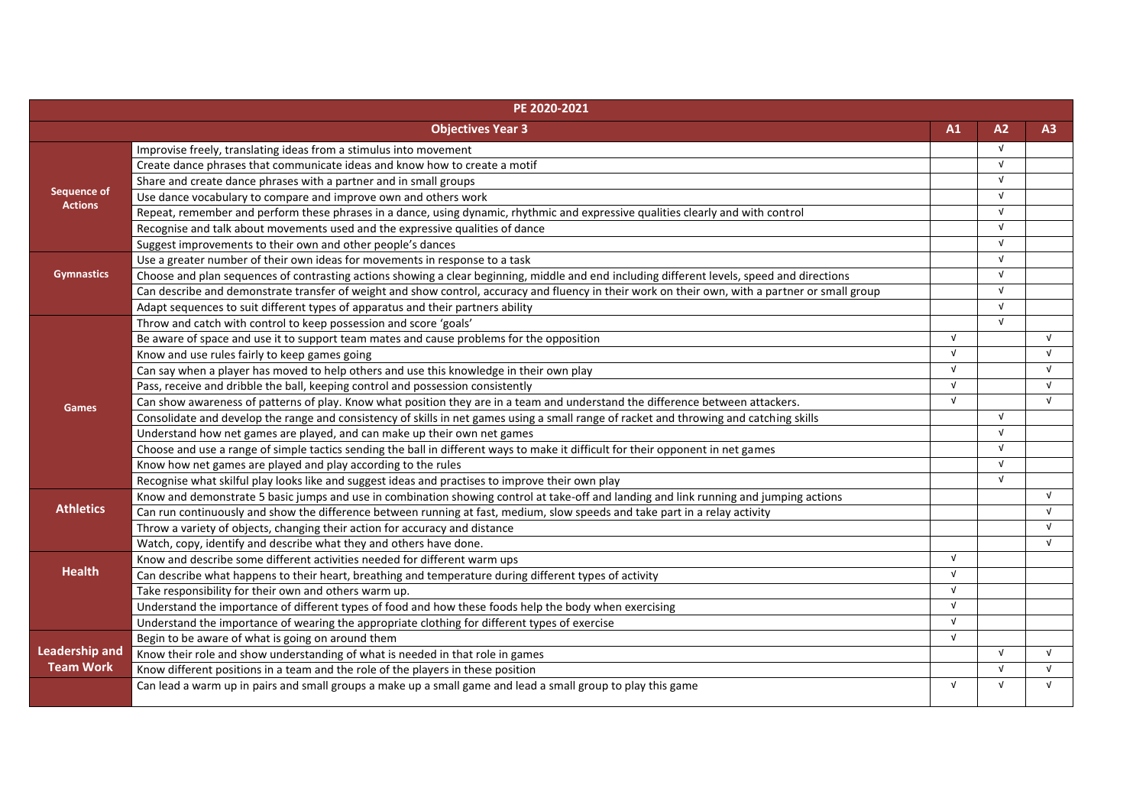|                       | PE 2020-2021                                                                                                                                     |            |            |            |
|-----------------------|--------------------------------------------------------------------------------------------------------------------------------------------------|------------|------------|------------|
|                       | <b>Objectives Year 3</b>                                                                                                                         | A1         | A2         | A3         |
|                       | Improvise freely, translating ideas from a stimulus into movement                                                                                |            | V          |            |
| <b>Sequence of</b>    | Create dance phrases that communicate ideas and know how to create a motif                                                                       |            | $\sqrt{ }$ |            |
|                       | Share and create dance phrases with a partner and in small groups                                                                                |            | $\sqrt{ }$ |            |
|                       | Use dance vocabulary to compare and improve own and others work                                                                                  |            | $\sqrt{ }$ |            |
| <b>Actions</b>        | Repeat, remember and perform these phrases in a dance, using dynamic, rhythmic and expressive qualities clearly and with control                 |            | V          |            |
|                       | Recognise and talk about movements used and the expressive qualities of dance                                                                    |            | V          |            |
|                       | Suggest improvements to their own and other people's dances                                                                                      |            | $\sqrt{ }$ |            |
|                       | Use a greater number of their own ideas for movements in response to a task                                                                      |            | $\sqrt{ }$ |            |
| <b>Gymnastics</b>     | Choose and plan sequences of contrasting actions showing a clear beginning, middle and end including different levels, speed and directions      |            | $\sqrt{ }$ |            |
|                       | Can describe and demonstrate transfer of weight and show control, accuracy and fluency in their work on their own, with a partner or small group |            | V          |            |
|                       | Adapt sequences to suit different types of apparatus and their partners ability                                                                  |            | V          |            |
|                       | Throw and catch with control to keep possession and score 'goals'                                                                                |            | $\sqrt{ }$ |            |
|                       | Be aware of space and use it to support team mates and cause problems for the opposition                                                         | $\sqrt{ }$ |            | $\sqrt{ }$ |
|                       | Know and use rules fairly to keep games going                                                                                                    | $\sqrt{ }$ |            | $\sqrt{ }$ |
|                       | Can say when a player has moved to help others and use this knowledge in their own play                                                          | $\sqrt{ }$ |            | $\sqrt{ }$ |
|                       | Pass, receive and dribble the ball, keeping control and possession consistently                                                                  | $\sqrt{ }$ |            | $\sqrt{ }$ |
| <b>Games</b>          | Can show awareness of patterns of play. Know what position they are in a team and understand the difference between attackers.                   | $\sqrt{ }$ |            | $\sqrt{ }$ |
|                       | Consolidate and develop the range and consistency of skills in net games using a small range of racket and throwing and catching skills          |            | $\sqrt{ }$ |            |
|                       | Understand how net games are played, and can make up their own net games                                                                         |            | $\sqrt{ }$ |            |
|                       | Choose and use a range of simple tactics sending the ball in different ways to make it difficult for their opponent in net games                 |            | V          |            |
|                       | Know how net games are played and play according to the rules                                                                                    |            | V          |            |
|                       | Recognise what skilful play looks like and suggest ideas and practises to improve their own play                                                 |            | V          |            |
|                       | Know and demonstrate 5 basic jumps and use in combination showing control at take-off and landing and link running and jumping actions           |            |            | $\sqrt{ }$ |
| <b>Athletics</b>      | Can run continuously and show the difference between running at fast, medium, slow speeds and take part in a relay activity                      |            |            | $\sqrt{ }$ |
|                       | Throw a variety of objects, changing their action for accuracy and distance                                                                      |            |            |            |
|                       | Watch, copy, identify and describe what they and others have done.                                                                               |            |            | $\sqrt{ }$ |
|                       | Know and describe some different activities needed for different warm ups                                                                        | $\sqrt{ }$ |            |            |
| <b>Health</b>         | Can describe what happens to their heart, breathing and temperature during different types of activity                                           | $\sqrt{ }$ |            |            |
|                       | Take responsibility for their own and others warm up.                                                                                            | $\sqrt{ }$ |            |            |
|                       | Understand the importance of different types of food and how these foods help the body when exercising                                           | $\sqrt{ }$ |            |            |
|                       | Understand the importance of wearing the appropriate clothing for different types of exercise                                                    | $\sqrt{ }$ |            |            |
|                       | Begin to be aware of what is going on around them                                                                                                | $\sqrt{ }$ |            |            |
| <b>Leadership and</b> | Know their role and show understanding of what is needed in that role in games                                                                   |            | $\sqrt{ }$ | $\sqrt{ }$ |
| <b>Team Work</b>      | Know different positions in a team and the role of the players in these position                                                                 |            | $\sqrt{ }$ | $\sqrt{ }$ |
|                       | Can lead a warm up in pairs and small groups a make up a small game and lead a small group to play this game                                     | $\sqrt{ }$ |            |            |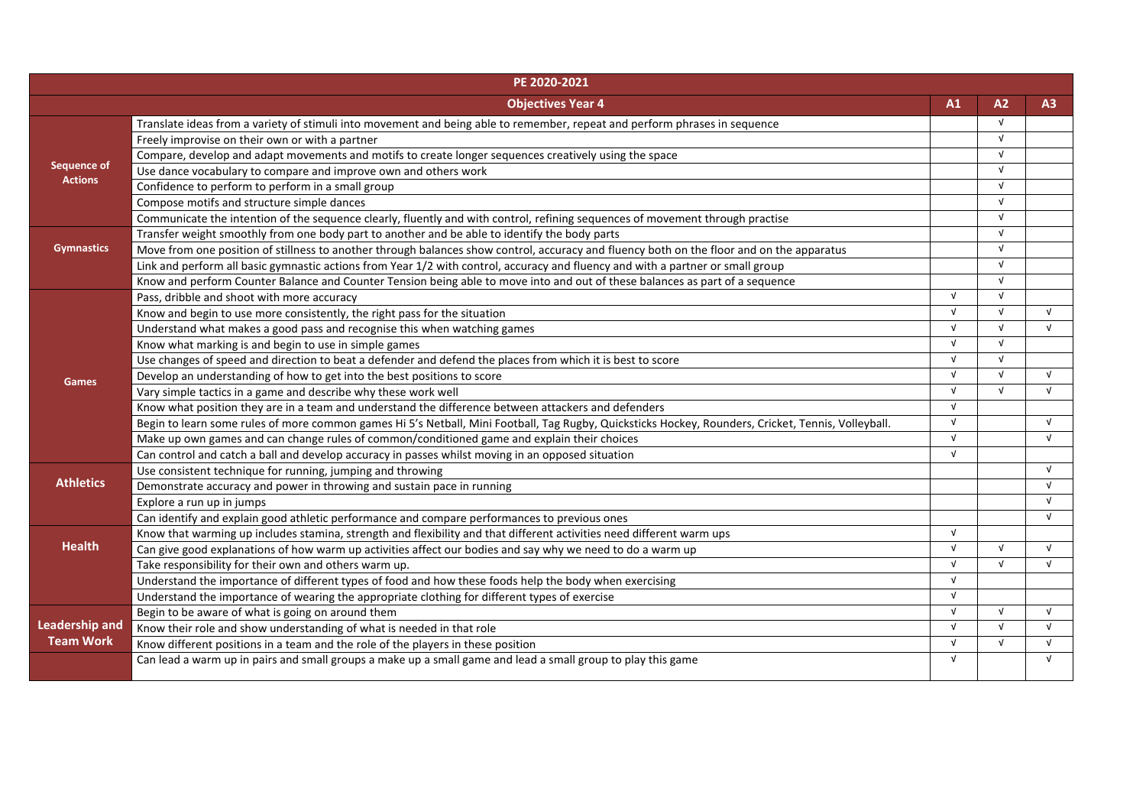| PE 2020-2021          |                                                                                                                                                     |            |            |            |
|-----------------------|-----------------------------------------------------------------------------------------------------------------------------------------------------|------------|------------|------------|
|                       | <b>Objectives Year 4</b>                                                                                                                            | A1         | A2         | A3         |
|                       | Translate ideas from a variety of stimuli into movement and being able to remember, repeat and perform phrases in sequence                          |            | N.         |            |
|                       | Freely improvise on their own or with a partner                                                                                                     |            | N.         |            |
|                       | Compare, develop and adapt movements and motifs to create longer sequences creatively using the space                                               |            | $\sqrt{ }$ |            |
| <b>Sequence of</b>    | Use dance vocabulary to compare and improve own and others work                                                                                     |            | N.         |            |
| <b>Actions</b>        | Confidence to perform to perform in a small group                                                                                                   |            | $\sqrt{ }$ |            |
|                       | Compose motifs and structure simple dances                                                                                                          |            | $\sqrt{ }$ |            |
|                       | Communicate the intention of the sequence clearly, fluently and with control, refining sequences of movement through practise                       |            | $\sqrt{ }$ |            |
|                       | Transfer weight smoothly from one body part to another and be able to identify the body parts                                                       |            | $\sqrt{ }$ |            |
| <b>Gymnastics</b>     | Move from one position of stillness to another through balances show control, accuracy and fluency both on the floor and on the apparatus           |            | $\sqrt{ }$ |            |
|                       | Link and perform all basic gymnastic actions from Year 1/2 with control, accuracy and fluency and with a partner or small group                     |            | $\sqrt{ }$ |            |
|                       | Know and perform Counter Balance and Counter Tension being able to move into and out of these balances as part of a sequence                        |            | $\sqrt{ }$ |            |
|                       | Pass, dribble and shoot with more accuracy                                                                                                          | $\sqrt{ }$ | $\sqrt{ }$ |            |
|                       | Know and begin to use more consistently, the right pass for the situation                                                                           | $\sqrt{ }$ | $\sqrt{ }$ | $\sqrt{ }$ |
|                       | Understand what makes a good pass and recognise this when watching games                                                                            | $\sqrt{ }$ | $\sqrt{ }$ | $\sqrt{ }$ |
|                       | Know what marking is and begin to use in simple games                                                                                               | $\sqrt{ }$ | $\sqrt{ }$ |            |
|                       | Use changes of speed and direction to beat a defender and defend the places from which it is best to score                                          | $\sqrt{ }$ | $\sqrt{ }$ |            |
| <b>Games</b>          | Develop an understanding of how to get into the best positions to score                                                                             | $\sqrt{ }$ | $\sqrt{ }$ | $\sqrt{ }$ |
|                       | Vary simple tactics in a game and describe why these work well                                                                                      | $\sqrt{ }$ | $\sqrt{ }$ | $\sqrt{ }$ |
|                       | Know what position they are in a team and understand the difference between attackers and defenders                                                 | $\sqrt{ }$ |            |            |
|                       | Begin to learn some rules of more common games Hi 5's Netball, Mini Football, Tag Rugby, Quicksticks Hockey, Rounders, Cricket, Tennis, Volleyball. | $\sqrt{ }$ |            | $\sqrt{ }$ |
|                       | Make up own games and can change rules of common/conditioned game and explain their choices                                                         | $\sqrt{ }$ |            | $\sqrt{ }$ |
|                       | Can control and catch a ball and develop accuracy in passes whilst moving in an opposed situation                                                   | $\sqrt{ }$ |            |            |
|                       | Use consistent technique for running, jumping and throwing                                                                                          |            |            | $\sqrt{ }$ |
| <b>Athletics</b>      | Demonstrate accuracy and power in throwing and sustain pace in running                                                                              |            |            | $\sqrt{ }$ |
|                       | Explore a run up in jumps                                                                                                                           |            |            |            |
|                       | Can identify and explain good athletic performance and compare performances to previous ones                                                        |            |            | $\sqrt{ }$ |
|                       | Know that warming up includes stamina, strength and flexibility and that different activities need different warm ups                               | $\sqrt{ }$ |            |            |
| <b>Health</b>         | Can give good explanations of how warm up activities affect our bodies and say why we need to do a warm up                                          | $\sqrt{ }$ |            | $\sqrt{ }$ |
|                       | Take responsibility for their own and others warm up.                                                                                               | $\sqrt{ }$ | $\sqrt{ }$ | $\sqrt{ }$ |
|                       | Understand the importance of different types of food and how these foods help the body when exercising                                              | $\sqrt{ }$ |            |            |
|                       | Understand the importance of wearing the appropriate clothing for different types of exercise                                                       | $\sqrt{ }$ |            |            |
|                       | Begin to be aware of what is going on around them                                                                                                   | $\sqrt{ }$ | $\sqrt{ }$ | $\sqrt{ }$ |
| <b>Leadership and</b> | Know their role and show understanding of what is needed in that role                                                                               | $\sqrt{ }$ | $\sqrt{ }$ | $\sqrt{ }$ |
| <b>Team Work</b>      | Know different positions in a team and the role of the players in these position                                                                    | $\sqrt{ }$ | $\sqrt{ }$ | $\sqrt{ }$ |
|                       | Can lead a warm up in pairs and small groups a make up a small game and lead a small group to play this game                                        | $\sqrt{ }$ |            | $\sqrt{ }$ |
|                       |                                                                                                                                                     |            |            |            |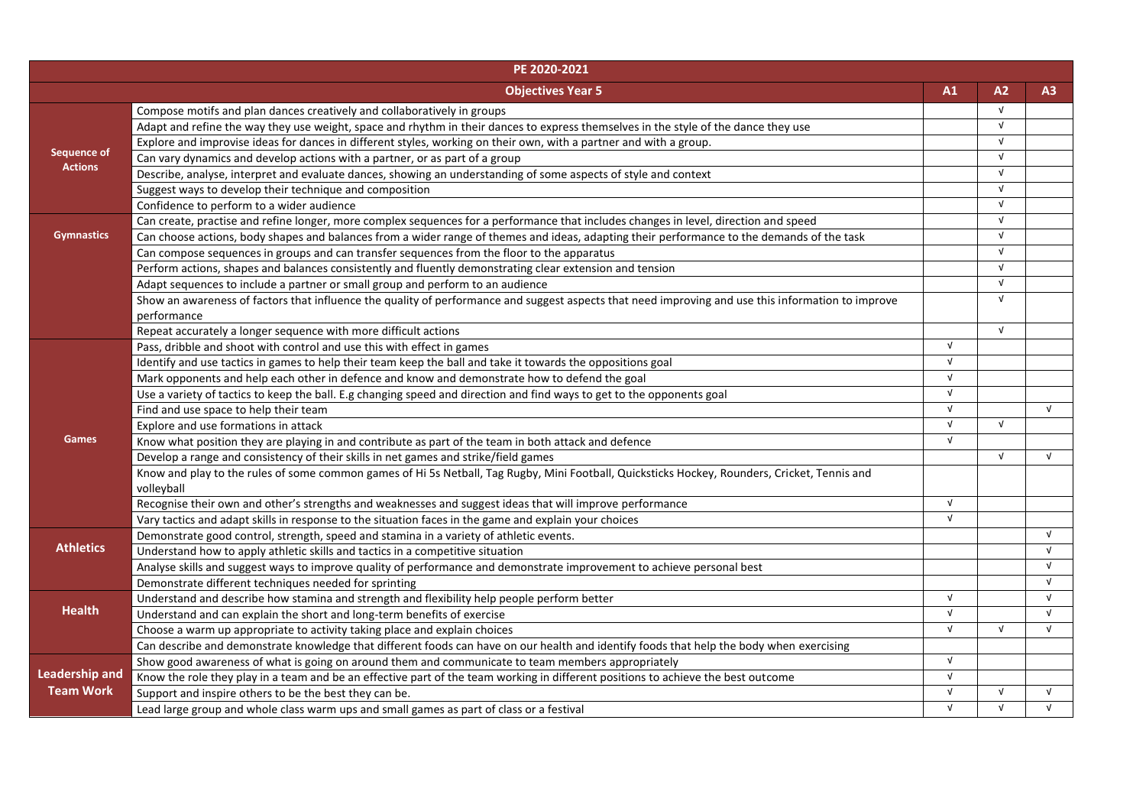|                       | PE 2020-2021                                                                                                                                       |            |            |            |
|-----------------------|----------------------------------------------------------------------------------------------------------------------------------------------------|------------|------------|------------|
|                       | <b>Objectives Year 5</b>                                                                                                                           | A1         | A2         | A3         |
|                       | Compose motifs and plan dances creatively and collaboratively in groups                                                                            |            | $\sqrt{ }$ |            |
|                       | Adapt and refine the way they use weight, space and rhythm in their dances to express themselves in the style of the dance they use                |            | $\sqrt{ }$ |            |
|                       | Explore and improvise ideas for dances in different styles, working on their own, with a partner and with a group.                                 |            | $\sqrt{ }$ |            |
| <b>Sequence of</b>    | Can vary dynamics and develop actions with a partner, or as part of a group                                                                        |            | $\sqrt{ }$ |            |
| <b>Actions</b>        | Describe, analyse, interpret and evaluate dances, showing an understanding of some aspects of style and context                                    |            | $\sqrt{ }$ |            |
|                       | Suggest ways to develop their technique and composition                                                                                            |            | $\sqrt{ }$ |            |
|                       | Confidence to perform to a wider audience                                                                                                          |            | $\sqrt{ }$ |            |
|                       | Can create, practise and refine longer, more complex sequences for a performance that includes changes in level, direction and speed               |            | $\sqrt{ }$ |            |
| <b>Gymnastics</b>     | Can choose actions, body shapes and balances from a wider range of themes and ideas, adapting their performance to the demands of the task         |            | $\sqrt{ }$ |            |
|                       | Can compose sequences in groups and can transfer sequences from the floor to the apparatus                                                         |            | $\sqrt{ }$ |            |
|                       | Perform actions, shapes and balances consistently and fluently demonstrating clear extension and tension                                           |            | N.         |            |
|                       | Adapt sequences to include a partner or small group and perform to an audience                                                                     |            | v          |            |
|                       | Show an awareness of factors that influence the quality of performance and suggest aspects that need improving and use this information to improve |            | v          |            |
|                       | performance                                                                                                                                        |            |            |            |
|                       | Repeat accurately a longer sequence with more difficult actions                                                                                    |            | $\sqrt{ }$ |            |
|                       | Pass, dribble and shoot with control and use this with effect in games                                                                             | $\sqrt{ }$ |            |            |
|                       | Identify and use tactics in games to help their team keep the ball and take it towards the oppositions goal                                        | $\sqrt{ }$ |            |            |
|                       | Mark opponents and help each other in defence and know and demonstrate how to defend the goal                                                      | $\sqrt{ }$ |            |            |
|                       | Use a variety of tactics to keep the ball. E.g changing speed and direction and find ways to get to the opponents goal                             | $\sqrt{ }$ |            |            |
|                       | Find and use space to help their team                                                                                                              | $\sqrt{ }$ |            | $\sqrt{ }$ |
|                       | Explore and use formations in attack                                                                                                               | $\sqrt{ }$ | $\sqrt{ }$ |            |
| <b>Games</b>          | Know what position they are playing in and contribute as part of the team in both attack and defence                                               | $\sqrt{ }$ |            |            |
|                       | Develop a range and consistency of their skills in net games and strike/field games                                                                |            | $\sqrt{ }$ | $\sqrt{ }$ |
|                       | Know and play to the rules of some common games of Hi 5s Netball, Tag Rugby, Mini Football, Quicksticks Hockey, Rounders, Cricket, Tennis and      |            |            |            |
|                       | volleyball                                                                                                                                         |            |            |            |
|                       | Recognise their own and other's strengths and weaknesses and suggest ideas that will improve performance                                           | $\sqrt{ }$ |            |            |
|                       | Vary tactics and adapt skills in response to the situation faces in the game and explain your choices                                              | $\sqrt{ }$ |            |            |
|                       | Demonstrate good control, strength, speed and stamina in a variety of athletic events.                                                             |            |            | $\sqrt{ }$ |
| <b>Athletics</b>      | Understand how to apply athletic skills and tactics in a competitive situation                                                                     |            |            | $\sqrt{ }$ |
|                       | Analyse skills and suggest ways to improve quality of performance and demonstrate improvement to achieve personal best                             |            |            | $\sqrt{ }$ |
|                       | Demonstrate different techniques needed for sprinting                                                                                              |            |            | $\sqrt{ }$ |
|                       | Understand and describe how stamina and strength and flexibility help people perform better                                                        | $\sqrt{ }$ |            | $\sqrt{ }$ |
| <b>Health</b>         | Understand and can explain the short and long-term benefits of exercise                                                                            | $\sqrt{ }$ |            | $\sqrt{ }$ |
|                       | Choose a warm up appropriate to activity taking place and explain choices                                                                          | $\sqrt{ }$ | $\sqrt{ }$ | $\sqrt{ }$ |
|                       | Can describe and demonstrate knowledge that different foods can have on our health and identify foods that help the body when exercising           |            |            |            |
|                       | Show good awareness of what is going on around them and communicate to team members appropriately                                                  | $\sqrt{ }$ |            |            |
| <b>Leadership and</b> | Know the role they play in a team and be an effective part of the team working in different positions to achieve the best outcome                  | $\sqrt{ }$ |            |            |
| <b>Team Work</b>      | Support and inspire others to be the best they can be.                                                                                             | $\sqrt{ }$ | $\sqrt{ }$ | $\sqrt{ }$ |
|                       | Lead large group and whole class warm ups and small games as part of class or a festival                                                           | $\sqrt{ }$ |            | $\sqrt{ }$ |